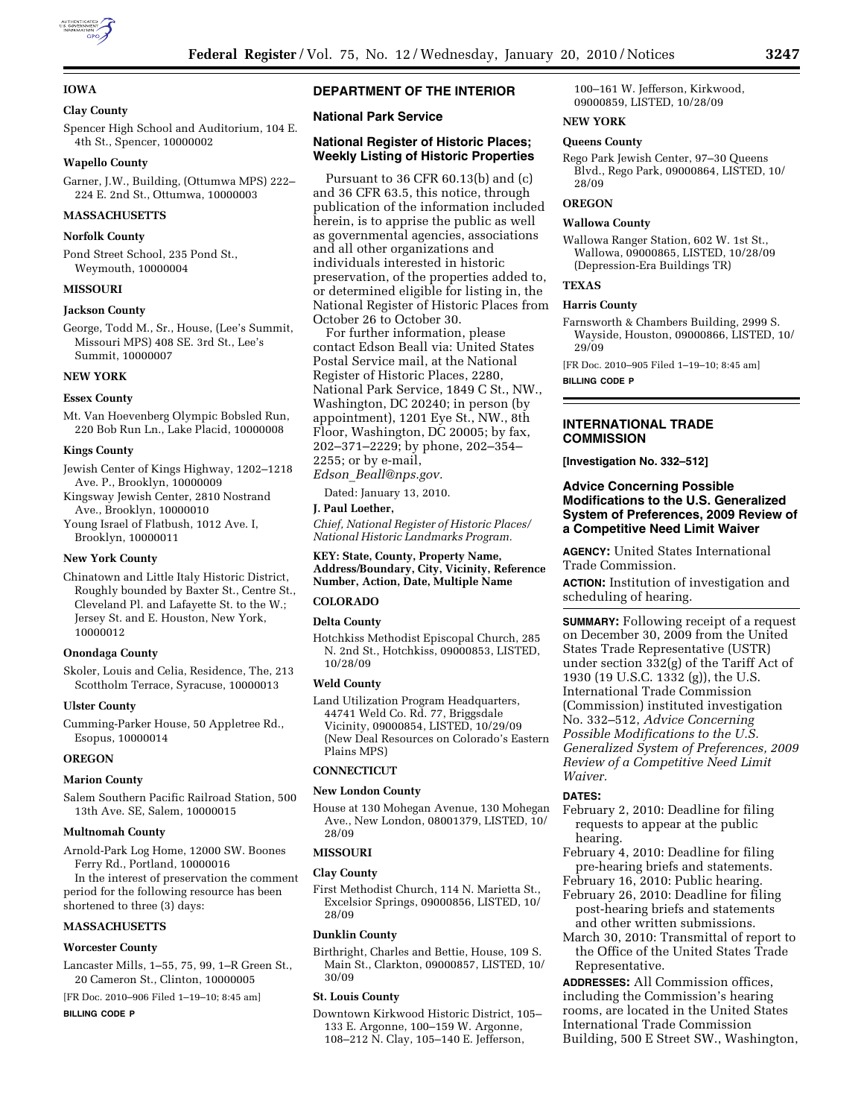

## **IOWA**

## **Clay County**

Spencer High School and Auditorium, 104 E. 4th St., Spencer, 10000002

## **Wapello County**

Garner, J.W., Building, (Ottumwa MPS) 222– 224 E. 2nd St., Ottumwa, 10000003

# **MASSACHUSETTS**

#### **Norfolk County**

Pond Street School, 235 Pond St., Weymouth, 10000004

#### **MISSOURI**

#### **Jackson County**

George, Todd M., Sr., House, (Lee's Summit, Missouri MPS) 408 SE. 3rd St., Lee's Summit, 10000007

#### **NEW YORK**

#### **Essex County**

Mt. Van Hoevenberg Olympic Bobsled Run, 220 Bob Run Ln., Lake Placid, 10000008

#### **Kings County**

Jewish Center of Kings Highway, 1202–1218 Ave. P., Brooklyn, 10000009

- Kingsway Jewish Center, 2810 Nostrand Ave., Brooklyn, 10000010
- Young Israel of Flatbush, 1012 Ave. I, Brooklyn, 10000011

## **New York County**

Chinatown and Little Italy Historic District, Roughly bounded by Baxter St., Centre St., Cleveland Pl. and Lafayette St. to the W.; Jersey St. and E. Houston, New York, 10000012

#### **Onondaga County**

Skoler, Louis and Celia, Residence, The, 213 Scottholm Terrace, Syracuse, 10000013

#### **Ulster County**

Cumming-Parker House, 50 Appletree Rd., Esopus, 10000014

## **OREGON**

#### **Marion County**

Salem Southern Pacific Railroad Station, 500 13th Ave. SE, Salem, 10000015

#### **Multnomah County**

Arnold-Park Log Home, 12000 SW. Boones Ferry Rd., Portland, 10000016

In the interest of preservation the comment period for the following resource has been shortened to three (3) days:

#### **MASSACHUSETTS**

#### **Worcester County**

Lancaster Mills, 1–55, 75, 99, 1–R Green St., 20 Cameron St., Clinton, 10000005

[FR Doc. 2010–906 Filed 1–19–10; 8:45 am]

## **BILLING CODE P**

# **DEPARTMENT OF THE INTERIOR**

## **National Park Service**

## **National Register of Historic Places; Weekly Listing of Historic Properties**

Pursuant to 36 CFR 60.13(b) and (c) and 36 CFR 63.5, this notice, through publication of the information included herein, is to apprise the public as well as governmental agencies, associations and all other organizations and individuals interested in historic preservation, of the properties added to, or determined eligible for listing in, the National Register of Historic Places from October 26 to October 30.

For further information, please contact Edson Beall via: United States Postal Service mail, at the National Register of Historic Places, 2280, National Park Service, 1849 C St., NW., Washington, DC 20240; in person (by appointment), 1201 Eye St., NW., 8th Floor, Washington, DC 20005; by fax, 202–371–2229; by phone, 202–354– 2255; or by e-mail,

*Edson*\_*Beall@nps.gov.* 

Dated: January 13, 2010.

## **J. Paul Loether,**

*Chief, National Register of Historic Places/ National Historic Landmarks Program.* 

## **KEY: State, County, Property Name, Address/Boundary, City, Vicinity, Reference Number, Action, Date, Multiple Name**

#### **COLORADO**

## **Delta County**

Hotchkiss Methodist Episcopal Church, 285 N. 2nd St., Hotchkiss, 09000853, LISTED, 10/28/09

#### **Weld County**

Land Utilization Program Headquarters, 44741 Weld Co. Rd. 77, Briggsdale Vicinity, 09000854, LISTED, 10/29/09 (New Deal Resources on Colorado's Eastern Plains MPS)

## **CONNECTICUT**

## **New London County**

House at 130 Mohegan Avenue, 130 Mohegan Ave., New London, 08001379, LISTED, 10/ 28/09

#### **MISSOURI**

#### **Clay County**

First Methodist Church, 114 N. Marietta St., Excelsior Springs, 09000856, LISTED, 10/ 28/09

#### **Dunklin County**

Birthright, Charles and Bettie, House, 109 S. Main St., Clarkton, 09000857, LISTED, 10/ 30/09

#### **St. Louis County**

Downtown Kirkwood Historic District, 105– 133 E. Argonne, 100–159 W. Argonne, 108–212 N. Clay, 105–140 E. Jefferson,

100–161 W. Jefferson, Kirkwood, 09000859, LISTED, 10/28/09

# **NEW YORK**

## **Queens County**

Rego Park Jewish Center, 97–30 Queens Blvd., Rego Park, 09000864, LISTED, 10/ 28/09

## **OREGON**

# **Wallowa County**

Wallowa Ranger Station, 602 W. 1st St., Wallowa, 09000865, LISTED, 10/28/09 (Depression-Era Buildings TR)

# **TEXAS**

## **Harris County**

Farnsworth & Chambers Building, 2999 S. Wayside, Houston, 09000866, LISTED, 10/ 29/09

[FR Doc. 2010–905 Filed 1–19–10; 8:45 am]

#### **BILLING CODE P**

## **INTERNATIONAL TRADE COMMISSION**

**[Investigation No. 332–512]** 

## **Advice Concerning Possible Modifications to the U.S. Generalized System of Preferences, 2009 Review of a Competitive Need Limit Waiver**

**AGENCY:** United States International Trade Commission.

**ACTION:** Institution of investigation and scheduling of hearing.

**SUMMARY:** Following receipt of a request on December 30, 2009 from the United States Trade Representative (USTR) under section 332(g) of the Tariff Act of 1930 (19 U.S.C. 1332 (g)), the U.S. International Trade Commission (Commission) instituted investigation No. 332–512, *Advice Concerning Possible Modifications to the U.S. Generalized System of Preferences, 2009 Review of a Competitive Need Limit Waiver.* 

## **DATES:**

- February 2, 2010: Deadline for filing requests to appear at the public hearing.
- February 4, 2010: Deadline for filing pre-hearing briefs and statements. February 16, 2010: Public hearing.
- February 26, 2010: Deadline for filing post-hearing briefs and statements and other written submissions.
- March 30, 2010: Transmittal of report to the Office of the United States Trade Representative.

**ADDRESSES:** All Commission offices, including the Commission's hearing rooms, are located in the United States International Trade Commission Building, 500 E Street SW., Washington,